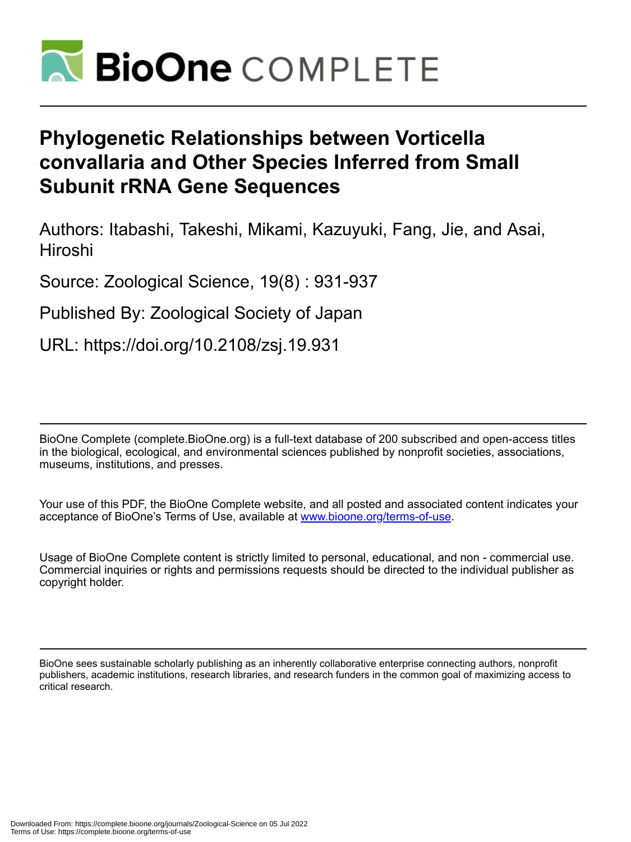

# **Phylogenetic Relationships between Vorticella convallaria and Other Species Inferred from Small Subunit rRNA Gene Sequences**

Authors: Itabashi, Takeshi, Mikami, Kazuyuki, Fang, Jie, and Asai, Hiroshi

Source: Zoological Science, 19(8) : 931-937

Published By: Zoological Society of Japan

URL: https://doi.org/10.2108/zsj.19.931

BioOne Complete (complete.BioOne.org) is a full-text database of 200 subscribed and open-access titles in the biological, ecological, and environmental sciences published by nonprofit societies, associations, museums, institutions, and presses.

Your use of this PDF, the BioOne Complete website, and all posted and associated content indicates your acceptance of BioOne's Terms of Use, available at www.bioone.org/terms-of-use.

Usage of BioOne Complete content is strictly limited to personal, educational, and non - commercial use. Commercial inquiries or rights and permissions requests should be directed to the individual publisher as copyright holder.

BioOne sees sustainable scholarly publishing as an inherently collaborative enterprise connecting authors, nonprofit publishers, academic institutions, research libraries, and research funders in the common goal of maximizing access to critical research.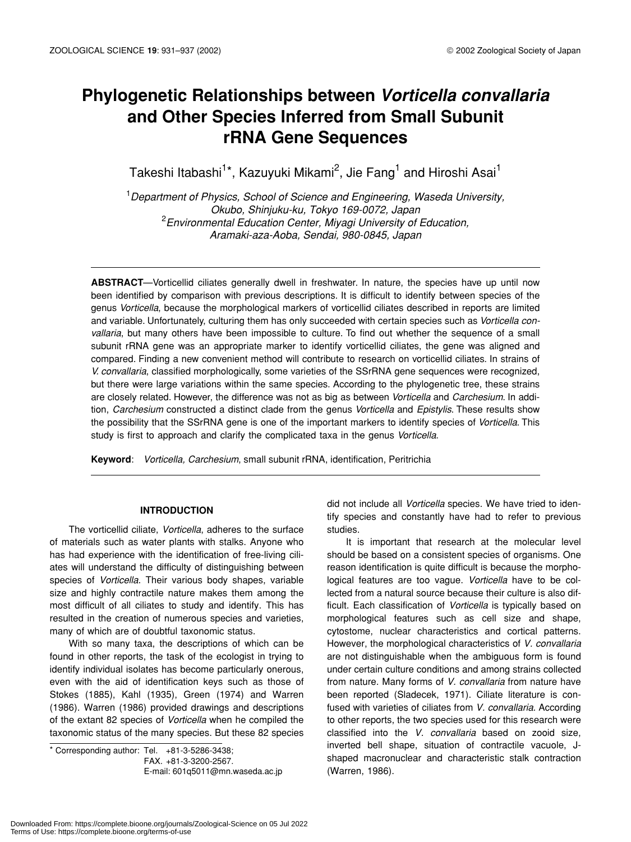# **Phylogenetic Relationships between** *Vorticella convallaria* **and Other Species Inferred from Small Subunit rRNA Gene Sequences**

Takeshi Itabashi $^{\mathsf{1}\star}$ , Kazuyuki Mikami $^{\mathsf{2}}$ , Jie Fang $^{\mathsf{1}}$  and Hiroshi Asai $^{\mathsf{1}}$ 

1 *Department of Physics, School of Science and Engineering, Waseda University, Okubo, Shinjuku-ku, Tokyo 169-0072, Japan* 2 *Environmental Education Center, Miyagi University of Education, Aramaki-aza-Aoba, Sendai, 980-0845, Japan*

**ABSTRACT**—Vorticellid ciliates generally dwell in freshwater. In nature, the species have up until now been identified by comparison with previous descriptions. It is difficult to identify between species of the genus *Vorticella*, because the morphological markers of vorticellid ciliates described in reports are limited and variable. Unfortunately, culturing them has only succeeded with certain species such as *Vorticella convallaria*, but many others have been impossible to culture. To find out whether the sequence of a small subunit rRNA gene was an appropriate marker to identify vorticellid ciliates, the gene was aligned and compared. Finding a new convenient method will contribute to research on vorticellid ciliates. In strains of *V. convallaria*, classified morphologically, some varieties of the SSrRNA gene sequences were recognized, but there were large variations within the same species. According to the phylogenetic tree, these strains are closely related. However, the difference was not as big as between *Vorticella* and *Carchesium*. In addition, *Carchesium* constructed a distinct clade from the genus *Vorticella* and *Epistylis*. These results show the possibility that the SSrRNA gene is one of the important markers to identify species of *Vorticella*. This study is first to approach and clarify the complicated taxa in the genus *Vorticella*.

**Keyword**: *Vorticella, Carchesium*, small subunit rRNA, identification, Peritrichia

# **INTRODUCTION**

The vorticellid ciliate, *Vorticella*, adheres to the surface of materials such as water plants with stalks. Anyone who has had experience with the identification of free-living ciliates will understand the difficulty of distinguishing between species of *Vorticella*. Their various body shapes, variable size and highly contractile nature makes them among the most difficult of all ciliates to study and identify. This has resulted in the creation of numerous species and varieties, many of which are of doubtful taxonomic status.

With so many taxa, the descriptions of which can be found in other reports, the task of the ecologist in trying to identify individual isolates has become particularly onerous, even with the aid of identification keys such as those of Stokes (1885), Kahl (1935), Green (1974) and Warren (1986). Warren (1986) provided drawings and descriptions of the extant 82 species of *Vorticella* when he compiled the taxonomic status of the many species. But these 82 species

 $*$  Corresponding author: Tel.  $+81-3-5286-3438$ ; FAX. +81-3-3200-2567. E-mail: 601q5011@mn.waseda.ac.jp did not include all *Vorticella* species. We have tried to identify species and constantly have had to refer to previous studies.

It is important that research at the molecular level should be based on a consistent species of organisms. One reason identification is quite difficult is because the morphological features are too vague. *Vorticella* have to be collected from a natural source because their culture is also difficult. Each classification of *Vorticella* is typically based on morphological features such as cell size and shape, cytostome, nuclear characteristics and cortical patterns. However, the morphological characteristics of *V. convallaria* are not distinguishable when the ambiguous form is found under certain culture conditions and among strains collected from nature. Many forms of *V. convallaria* from nature have been reported (Sladecek, 1971). Ciliate literature is confused with varieties of ciliates from *V. convallaria*. According to other reports, the two species used for this research were classified into the *V. convallaria* based on zooid size, inverted bell shape, situation of contractile vacuole, Jshaped macronuclear and characteristic stalk contraction (Warren, 1986).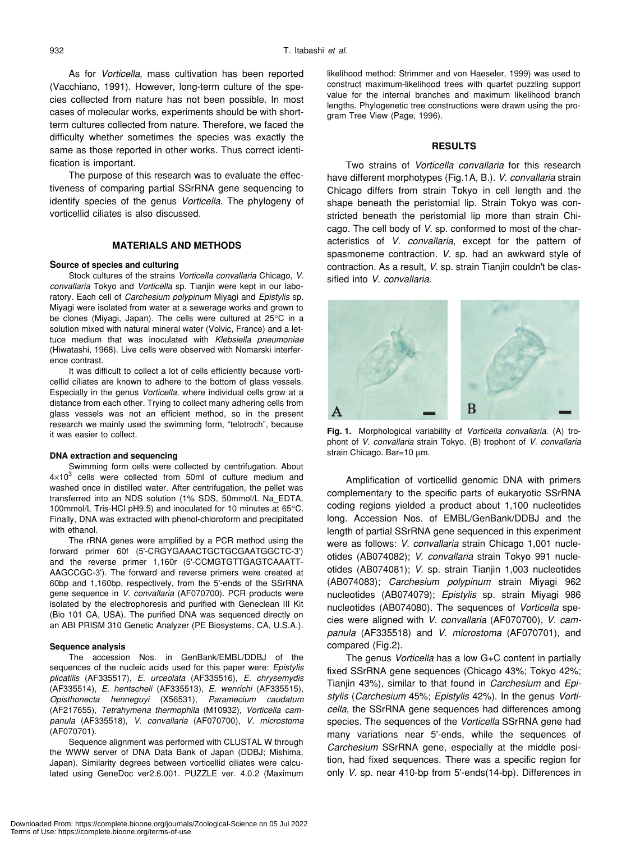As for *Vorticella*, mass cultivation has been reported (Vacchiano, 1991). However, long-term culture of the species collected from nature has not been possible. In most cases of molecular works, experiments should be with shortterm cultures collected from nature. Therefore, we faced the difficulty whether sometimes the species was exactly the same as those reported in other works. Thus correct identification is important.

The purpose of this research was to evaluate the effectiveness of comparing partial SSrRNA gene sequencing to identify species of the genus *Vorticella*. The phylogeny of vorticellid ciliates is also discussed.

# **MATERIALS AND METHODS**

## **Source of species and culturing**

Stock cultures of the strains *Vorticella convallaria* Chicago, *V. convallaria* Tokyo and *Vorticella* sp. Tianjin were kept in our laboratory. Each cell of *Carchesium polypinum* Miyagi and *Epistylis* sp. Miyagi were isolated from water at a sewerage works and grown to be clones (Miyagi, Japan). The cells were cultured at 25°C in a solution mixed with natural mineral water (Volvic, France) and a lettuce medium that was inoculated with *Klebsiella pneumoniae* (Hiwatashi, 1968). Live cells were observed with Nomarski interference contrast.

It was difficult to collect a lot of cells efficiently because vorticellid ciliates are known to adhere to the bottom of glass vessels. Especially in the genus *Vorticella*, where individual cells grow at a distance from each other. Trying to collect many adhering cells from glass vessels was not an efficient method, so in the present research we mainly used the swimming form, "telotroch", because it was easier to collect.

#### **DNA extraction and sequencing**

Swimming form cells were collected by centrifugation. About  $4\times10^3$  cells were collected from 50ml of culture medium and washed once in distilled water. After centrifugation, the pellet was transferred into an NDS solution (1% SDS, 50mmol/L Na\_EDTA, 100mmol/L Tris-HCl pH9.5) and inoculated for 10 minutes at 65°C. Finally, DNA was extracted with phenol-chloroform and precipitated with ethanol.

The rRNA genes were amplified by a PCR method using the forward primer 60f (5'-CRGYGAAACTGCTGCGAATGGCTC-3') and the reverse primer 1,160r (5'-CCMGTGTTGAGTCAAATT-AAGCCGC-3'). The forward and reverse primers were created at 60bp and 1,160bp, respectively, from the 5'-ends of the SSrRNA gene sequence in *V. convallaria* (AF070700). PCR products were isolated by the electrophoresis and purified with Geneclean III Kit (Bio 101 CA, USA). The purified DNA was sequenced directly on an ABI PRISM 310 Genetic Analyzer (PE Biosystems, CA, U.S.A.).

#### **Sequence analysis**

The accession Nos. in GenBank/EMBL/DDBJ of the sequences of the nucleic acids used for this paper were: *Epistylis plicatilis* (AF335517), *E. urceolata* (AF335516), *E. chrysemydis* (AF335514), *E. hentscheli* (AF335513), *E. wenrichi* (AF335515), *Opisthonecta henneguyi* (X56531), *Paramecium caudatum* (AF217655), *Tetrahymena thermophila* (M10932), *Vorticella campanula* (AF335518), *V. convallaria* (AF070700), *V. microstoma* (AF070701).

Sequence alignment was performed with CLUSTAL W through the WWW server of DNA Data Bank of Japan (DDBJ; Mishima, Japan). Similarity degrees between vorticellid ciliates were calculated using GeneDoc ver2.6.001. PUZZLE ver. 4.0.2 (Maximum likelihood method: Strimmer and von Haeseler, 1999) was used to construct maximum-likelihood trees with quartet puzzling support value for the internal branches and maximum likelihood branch lengths. Phylogenetic tree constructions were drawn using the program Tree View (Page, 1996).

# **RESULTS**

Two strains of *Vorticella convallaria* for this research have different morphotypes (Fig.1A, B.). *V. convallaria* strain Chicago differs from strain Tokyo in cell length and the shape beneath the peristomial lip. Strain Tokyo was constricted beneath the peristomial lip more than strain Chicago. The cell body of *V*. sp. conformed to most of the characteristics of *V. convallaria*, except for the pattern of spasmoneme contraction. *V*. sp. had an awkward style of contraction. As a result, *V*. sp. strain Tianjin couldn't be classified into *V. convallaria*.



**Fig. 1.** Morphological variability of *Vorticella convallaria*. (A) trophont of *V. convallaria* strain Tokyo. (B) trophont of *V. convallaria* strain Chicago. Bar=10 µm.

Amplification of vorticellid genomic DNA with primers complementary to the specific parts of eukaryotic SSrRNA coding regions yielded a product about 1,100 nucleotides long. Accession Nos. of EMBL/GenBank/DDBJ and the length of partial SSrRNA gene sequenced in this experiment were as follows: *V. convallaria* strain Chicago 1,001 nucleotides (AB074082); *V. convallaria* strain Tokyo 991 nucleotides (AB074081); *V*. sp. strain Tianjin 1,003 nucleotides (AB074083); *Carchesium polypinum* strain Miyagi 962 nucleotides (AB074079); *Epistylis* sp. strain Miyagi 986 nucleotides (AB074080). The sequences of *Vorticella* species were aligned with *V. convallaria* (AF070700), *V. campanula* (AF335518) and *V. microstoma* (AF070701), and compared (Fig.2).

The genus *Vorticella* has a low G+C content in partially fixed SSrRNA gene sequences (Chicago 43%; Tokyo 42%; Tianjin 43%), similar to that found in *Carchesium* and *Epistylis* (*Carchesium* 45%; *Epistylis* 42%). In the genus *Vorticella*, the SSrRNA gene sequences had differences among species. The sequences of the *Vorticella* SSrRNA gene had many variations near 5'-ends, while the sequences of *Carchesium* SSrRNA gene, especially at the middle position, had fixed sequences. There was a specific region for only *V*. sp. near 410-bp from 5'-ends(14-bp). Differences in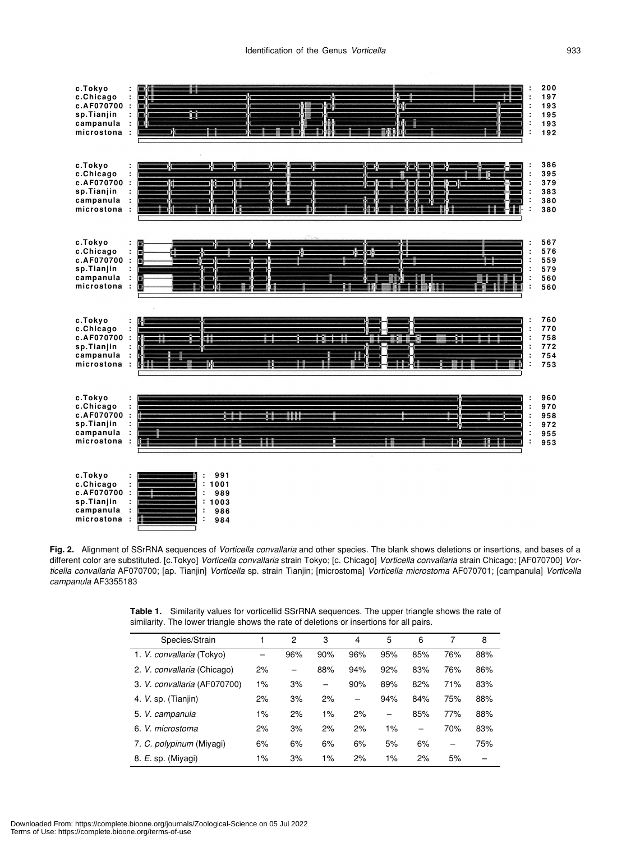

**Fig. 2.** Alignment of SSrRNA sequences of *Vorticella convallaria* and other species. The blank shows deletions or insertions, and bases of a different color are substituted. [c.Tokyo] *Vorticella convallaria* strain Tokyo; [c. Chicago] *Vorticella convallaria* strain Chicago; [AF070700] *Vorticella convallaria* AF070700; [ap. Tianjin] *Vorticella* sp. strain Tianjin; [microstoma] *Vorticella microstoma* AF070701; [campanula] *Vorticella campanula* AF3355183

**Table 1.** Similarity values for vorticellid SSrRNA sequences. The upper triangle shows the rate of similarity. The lower triangle shows the rate of deletions or insertions for all pairs.

| Species/Strain               |       | 2   | 3   | 4   | 5                        | 6   | 7   | 8   |
|------------------------------|-------|-----|-----|-----|--------------------------|-----|-----|-----|
| 1. V. convallaria (Tokyo)    |       | 96% | 90% | 96% | 95%                      | 85% | 76% | 88% |
| 2. V. convallaria (Chicago)  | 2%    |     | 88% | 94% | 92%                      | 83% | 76% | 86% |
| 3. V. convallaria (AF070700) | 1%    | 3%  | —   | 90% | 89%                      | 82% | 71% | 83% |
| 4. V. sp. (Tianjin)          | 2%    | 3%  | 2%  |     | 94%                      | 84% | 75% | 88% |
| 5. V. campanula              | $1\%$ | 2%  | 1%  | 2%  | $\overline{\phantom{0}}$ | 85% | 77% | 88% |
| 6. V. microstoma             | 2%    | 3%  | 2%  | 2%  | $1\%$                    | -   | 70% | 83% |
| 7. C. polypinum (Miyagi)     | 6%    | 6%  | 6%  | 6%  | 5%                       | 6%  |     | 75% |
| 8. E. sp. (Miyagi)           | 1%    | 3%  | 1%  | 2%  | 1%                       | 2%  | 5%  |     |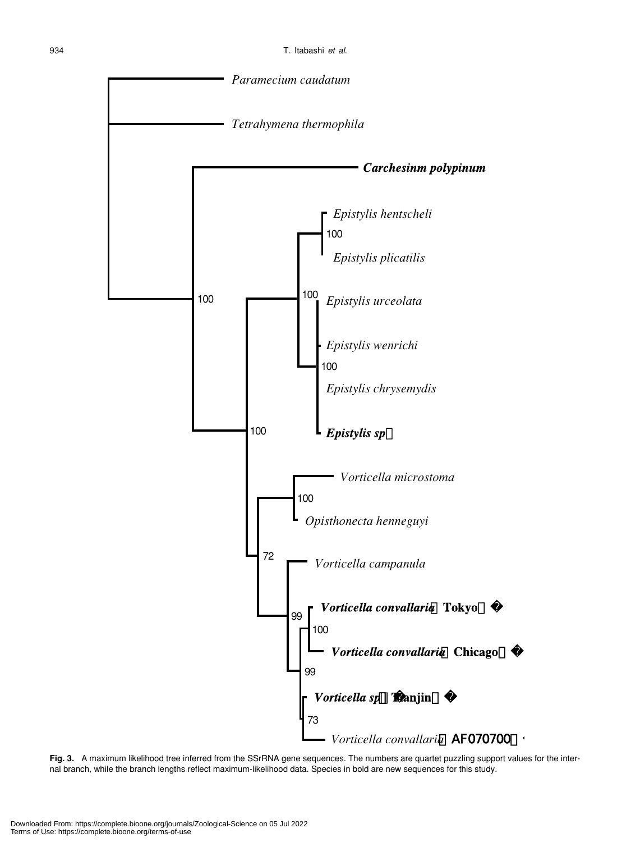

**Fig. 3.** A maximum likelihood tree inferred from the SSrRNA gene sequences. The numbers are quartet puzzling support values for the internal branch, while the branch lengths reflect maximum-likelihood data. Species in bold are new sequences for this study.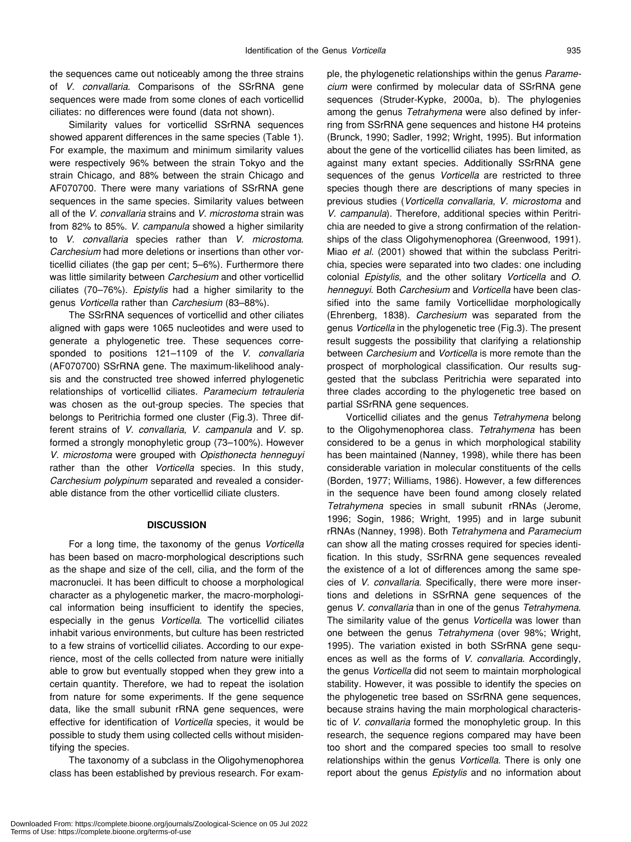the sequences came out noticeably among the three strains of *V. convallaria*. Comparisons of the SSrRNA gene sequences were made from some clones of each vorticellid ciliates: no differences were found (data not shown).

Similarity values for vorticellid SSrRNA sequences showed apparent differences in the same species (Table 1). For example, the maximum and minimum similarity values were respectively 96% between the strain Tokyo and the strain Chicago, and 88% between the strain Chicago and AF070700. There were many variations of SSrRNA gene sequences in the same species. Similarity values between all of the *V. convallaria* strains and *V. microstoma* strain was from 82% to 85%. *V. campanula* showed a higher similarity to *V. convallaria* species rather than *V. microstoma*. *Carchesium* had more deletions or insertions than other vorticellid ciliates (the gap per cent; 5–6%). Furthermore there was little similarity between *Carchesium* and other vorticellid ciliates (70–76%). *Epistylis* had a higher similarity to the genus *Vorticella* rather than *Carchesium* (83–88%).

The SSrRNA sequences of vorticellid and other ciliates aligned with gaps were 1065 nucleotides and were used to generate a phylogenetic tree. These sequences corresponded to positions 121–1109 of the *V. convallaria* (AF070700) SSrRNA gene. The maximum-likelihood analysis and the constructed tree showed inferred phylogenetic relationships of vorticellid ciliates. *Paramecium tetrauleria* was chosen as the out-group species. The species that belongs to Peritrichia formed one cluster (Fig.3). Three different strains of *V. convallaria*, *V. campanula* and *V*. sp. formed a strongly monophyletic group (73–100%). However *V. microstoma* were grouped with *Opisthonecta henneguyi* rather than the other *Vorticella* species. In this study, *Carchesium polypinum* separated and revealed a considerable distance from the other vorticellid ciliate clusters.

# **DISCUSSION**

For a long time, the taxonomy of the genus *Vorticella* has been based on macro-morphological descriptions such as the shape and size of the cell, cilia, and the form of the macronuclei. It has been difficult to choose a morphological character as a phylogenetic marker, the macro-morphological information being insufficient to identify the species, especially in the genus *Vorticella*. The vorticellid ciliates inhabit various environments, but culture has been restricted to a few strains of vorticellid ciliates. According to our experience, most of the cells collected from nature were initially able to grow but eventually stopped when they grew into a certain quantity. Therefore, we had to repeat the isolation from nature for some experiments. If the gene sequence data, like the small subunit rRNA gene sequences, were effective for identification of *Vorticella* species, it would be possible to study them using collected cells without misidentifying the species.

The taxonomy of a subclass in the Oligohymenophorea class has been established by previous research. For example, the phylogenetic relationships within the genus *Paramecium* were confirmed by molecular data of SSrRNA gene sequences (Struder-Kypke, 2000a, b). The phylogenies among the genus *Tetrahymena* were also defined by inferring from SSrRNA gene sequences and histone H4 proteins (Brunck, 1990; Sadler, 1992; Wright, 1995). But information about the gene of the vorticellid ciliates has been limited, as against many extant species. Additionally SSrRNA gene sequences of the genus *Vorticella* are restricted to three species though there are descriptions of many species in previous studies (*Vorticella convallaria*, *V. microstoma* and *V. campanula*). Therefore, additional species within Peritrichia are needed to give a strong confirmation of the relationships of the class Oligohymenophorea (Greenwood, 1991). Miao *et al*. (2001) showed that within the subclass Peritrichia, species were separated into two clades: one including colonial *Epistylis*, and the other solitary *Vorticella* and *O. henneguyi*. Both *Carchesium* and *Vorticella* have been classified into the same family Vorticellidae morphologically (Ehrenberg, 1838). *Carchesium* was separated from the genus *Vorticella* in the phylogenetic tree (Fig.3). The present result suggests the possibility that clarifying a relationship between *Carchesium* and *Vorticella* is more remote than the prospect of morphological classification. Our results suggested that the subclass Peritrichia were separated into three clades according to the phylogenetic tree based on partial SSrRNA gene sequences.

Vorticellid ciliates and the genus *Tetrahymena* belong to the Oligohymenophorea class. *Tetrahymena* has been considered to be a genus in which morphological stability has been maintained (Nanney, 1998), while there has been considerable variation in molecular constituents of the cells (Borden, 1977; Williams, 1986). However, a few differences in the sequence have been found among closely related *Tetrahymena* species in small subunit rRNAs (Jerome, 1996; Sogin, 1986; Wright, 1995) and in large subunit rRNAs (Nanney, 1998). Both *Tetrahymena* and *Paramecium* can show all the mating crosses required for species identification. In this study, SSrRNA gene sequences revealed the existence of a lot of differences among the same species of *V. convallaria*. Specifically, there were more insertions and deletions in SSrRNA gene sequences of the genus *V. convallaria* than in one of the genus *Tetrahymena*. The similarity value of the genus *Vorticella* was lower than one between the genus *Tetrahymena* (over 98%; Wright, 1995). The variation existed in both SSrRNA gene sequences as well as the forms of *V. convallaria*. Accordingly, the genus *Vorticella* did not seem to maintain morphological stability. However, it was possible to identify the species on the phylogenetic tree based on SSrRNA gene sequences, because strains having the main morphological characteristic of *V. convallaria* formed the monophyletic group. In this research, the sequence regions compared may have been too short and the compared species too small to resolve relationships within the genus *Vorticella*. There is only one report about the genus *Epistylis* and no information about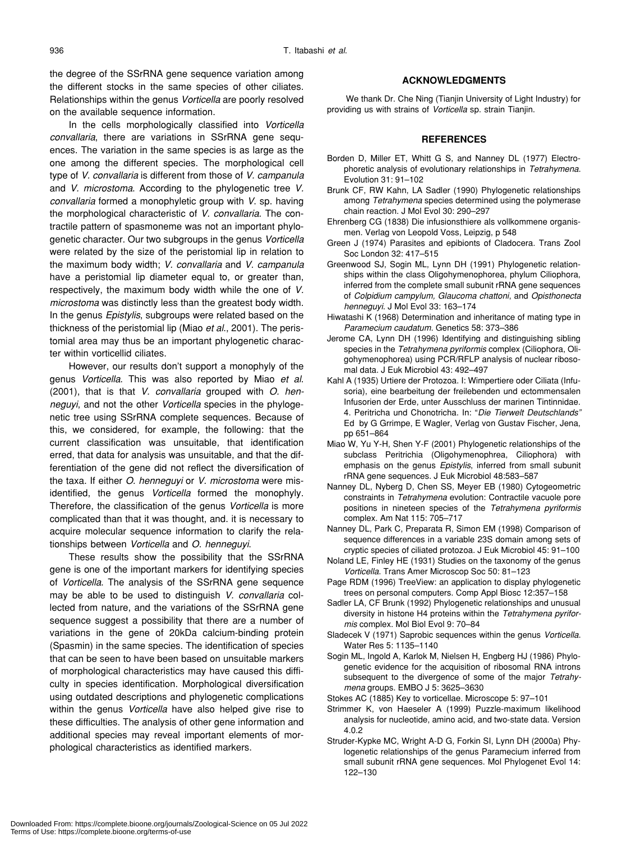the degree of the SSrRNA gene sequence variation among the different stocks in the same species of other ciliates. Relationships within the genus *Vorticella* are poorly resolved on the available sequence information.

In the cells morphologically classified into *Vorticella convallaria*, there are variations in SSrRNA gene sequences. The variation in the same species is as large as the one among the different species. The morphological cell type of *V. convallaria* is different from those of *V. campanula* and *V. microstoma*. According to the phylogenetic tree *V. convallaria* formed a monophyletic group with *V*. sp. having the morphological characteristic of *V. convallaria*. The contractile pattern of spasmoneme was not an important phylogenetic character. Our two subgroups in the genus *Vorticella* were related by the size of the peristomial lip in relation to the maximum body width; *V. convallaria* and *V. campanula* have a peristomial lip diameter equal to, or greater than, respectively, the maximum body width while the one of *V. microstoma* was distinctly less than the greatest body width. In the genus *Epistylis*, subgroups were related based on the thickness of the peristomial lip (Miao *et al*., 2001). The peristomial area may thus be an important phylogenetic character within vorticellid ciliates.

However, our results don't support a monophyly of the genus *Vorticella*. This was also reported by Miao *et al*. (2001), that is that *V. convallaria* grouped with *O. henneguyi*, and not the other *Vorticella* species in the phylogenetic tree using SSrRNA complete sequences. Because of this, we considered, for example, the following: that the current classification was unsuitable, that identification erred, that data for analysis was unsuitable, and that the differentiation of the gene did not reflect the diversification of the taxa. If either *O. henneguyi* or *V. microstoma* were misidentified, the genus *Vorticella* formed the monophyly. Therefore, the classification of the genus *Vorticella* is more complicated than that it was thought, and. it is necessary to acquire molecular sequence information to clarify the relationships between *Vorticella* and *O. henneguyi*.

These results show the possibility that the SSrRNA gene is one of the important markers for identifying species of *Vorticella*. The analysis of the SSrRNA gene sequence may be able to be used to distinguish *V. convallaria* collected from nature, and the variations of the SSrRNA gene sequence suggest a possibility that there are a number of variations in the gene of 20kDa calcium-binding protein (Spasmin) in the same species. The identification of species that can be seen to have been based on unsuitable markers of morphological characteristics may have caused this difficulty in species identification. Morphological diversification using outdated descriptions and phylogenetic complications within the genus *Vorticella* have also helped give rise to these difficulties. The analysis of other gene information and additional species may reveal important elements of morphological characteristics as identified markers.

# **ACKNOWLEDGMENTS**

We thank Dr. Che Ning (Tianjin University of Light Industry) for providing us with strains of *Vorticella* sp. strain Tianjin.

### **REFERENCES**

- Borden D, Miller ET, Whitt G S, and Nanney DL (1977) Electrophoretic analysis of evolutionary relationships in *Tetrahymena*. Evolution 31: 91–102
- Brunk CF, RW Kahn, LA Sadler (1990) Phylogenetic relationships among *Tetrahymena* species determined using the polymerase chain reaction. J Mol Evol 30: 290–297
- Ehrenberg CG (1838) Die infusionsthiere als vollkommene organismen. Verlag von Leopold Voss, Leipzig, p 548
- Green J (1974) Parasites and epibionts of Cladocera. Trans Zool Soc London 32: 417–515
- Greenwood SJ, Sogin ML, Lynn DH (1991) Phylogenetic relationships within the class Oligohymenophorea, phylum Ciliophora, inferred from the complete small subunit rRNA gene sequences of *Colpidium campylum, Glaucoma chattoni*, and *Opisthonecta henneguyi*. J Mol Evol 33: 163–174
- Hiwatashi K (1968) Determination and inheritance of mating type in *Paramecium caudatum*. Genetics 58: 373–386
- Jerome CA, Lynn DH (1996) Identifying and distinguishing sibling species in the *Tetrahymena pyriformis* complex (Ciliophora, Oligohymenophorea) using PCR/RFLP analysis of nuclear ribosomal data. J Euk Microbiol 43: 492–497
- Kahl A (1935) Urtiere der Protozoa. I: Wimpertiere oder Ciliata (Infusoria), eine bearbeitung der freilebenden und ectommensalen Infusorien der Erde, unter Ausschluss der marinen Tintinnidae. 4. Peritricha und Chonotricha. In: "*Die Tierwelt Deutschlands"* Ed by G Grrimpe, E Wagler, Verlag von Gustav Fischer, Jena, pp 651–864
- Miao W, Yu Y-H, Shen Y-F (2001) Phylogenetic relationships of the subclass Peritrichia (Oligohymenophrea, Ciliophora) with emphasis on the genus *Epistylis*, inferred from small subunit rRNA gene sequences. J Euk Microbiol 48:583–587
- Nanney DL, Nyberg D, Chen SS, Meyer EB (1980) Cytogeometric constraints in *Tetrahymena* evolution: Contractile vacuole pore positions in nineteen species of the *Tetrahymena pyriformis* complex. Am Nat 115: 705–717
- Nanney DL, Park C, Preparata R, Simon EM (1998) Comparison of sequence differences in a variable 23S domain among sets of cryptic species of ciliated protozoa. J Euk Microbiol 45: 91–100
- Noland LE, Finley HE (1931) Studies on the taxonomy of the genus *Vorticella*. Trans Amer Microscop Soc 50: 81–123
- Page RDM (1996) TreeView: an application to display phylogenetic trees on personal computers. Comp Appl Biosc 12:357–158
- Sadler LA, CF Brunk (1992) Phylogenetic relationships and unusual diversity in histone H4 proteins within the *Tetrahymena pyriformis* complex. Mol Biol Evol 9: 70–84
- Sladecek V (1971) Saprobic sequences within the genus *Vorticella*. Water Res 5: 1135–1140
- Sogin ML, Ingold A, Karlok M, Nielsen H, Engberg HJ (1986) Phylogenetic evidence for the acquisition of ribosomal RNA introns subsequent to the divergence of some of the major *Tetrahymena* groups. EMBO J 5: 3625–3630
- Stokes AC (1885) Key to vorticellae. Microscope 5: 97–101
- Strimmer K, von Haeseler A (1999) Puzzle-maximum likelihood analysis for nucleotide, amino acid, and two-state data. Version 4.0.2
- Struder-Kypke MC, Wright A-D G, Forkin SI, Lynn DH (2000a) Phylogenetic relationships of the genus Paramecium inferred from small subunit rRNA gene sequences. Mol Phylogenet Evol 14: 122–130